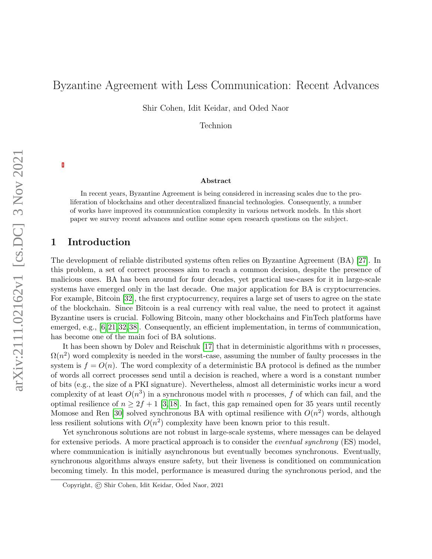# Byzantine Agreement with Less Communication: Recent Advances

Shir Cohen, Idit Keidar, and Oded Naor

Technion

#### Abstract

In recent years, Byzantine Agreement is being considered in increasing scales due to the proliferation of blockchains and other decentralized financial technologies. Consequently, a number of works have improved its communication complexity in various network models. In this short paper we survey recent advances and outline some open research questions on the subject.

#### 1 Introduction

The development of reliable distributed systems often relies on Byzantine Agreement (BA) [\[27\]](#page-9-0). In this problem, a set of correct processes aim to reach a common decision, despite the presence of malicious ones. BA has been around for four decades, yet practical use-cases for it in large-scale systems have emerged only in the last decade. One major application for BA is cryptocurrencies. For example, Bitcoin [\[32\]](#page-10-0), the first cryptocurrency, requires a large set of users to agree on the state of the blockchain. Since Bitcoin is a real currency with real value, the need to protect it against Byzantine users is crucial. Following Bitcoin, many other blockchains and FinTech platforms have emerged, e.g., [\[6,](#page-8-0) [21,](#page-9-1) [32,](#page-10-0) [38\]](#page-10-1). Consequently, an efficient implementation, in terms of communication, has become one of the main foci of BA solutions.

It has been shown by Dolev and Reischuk  $[17]$  that in deterministic algorithms with n processes,  $\Omega(n^2)$  word complexity is needed in the worst-case, assuming the number of faulty processes in the system is  $f = O(n)$ . The word complexity of a deterministic BA protocol is defined as the number of words all correct processes send until a decision is reached, where a word is a constant number of bits (e.g., the size of a PKI signature). Nevertheless, almost all deterministic works incur a word complexity of at least  $O(n^3)$  in a synchronous model with n processes, f of which can fail, and the optimal resilience of  $n \geq 2f + 1$  [\[3,](#page-8-1) [18\]](#page-9-3). In fact, this gap remained open for 35 years until recently Momose and Ren [\[30\]](#page-10-2) solved synchronous BA with optimal resilience with  $O(n^2)$  words, although less resilient solutions with  $O(n^2)$  complexity have been known prior to this result.

Yet synchronous solutions are not robust in large-scale systems, where messages can be delayed for extensive periods. A more practical approach is to consider the *eventual synchrony* (ES) model, where communication is initially asynchronous but eventually becomes synchronous. Eventually, synchronous algorithms always ensure safety, but their liveness is conditioned on communication becoming timely. In this model, performance is measured during the synchronous period, and the

Copyright, © Shir Cohen, Idit Keidar, Oded Naor, 2021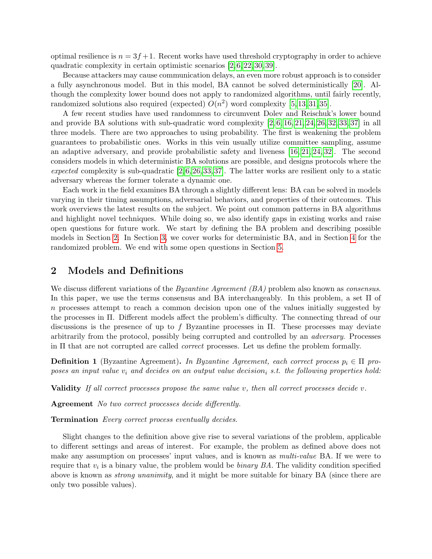optimal resilience is  $n = 3f + 1$ . Recent works have used threshold cryptography in order to achieve quadratic complexity in certain optimistic scenarios [\[2,](#page-8-2) [6,](#page-8-0) [22,](#page-9-4) [30,](#page-10-2) [39\]](#page-10-3).

Because attackers may cause communication delays, an even more robust approach is to consider a fully asynchronous model. But in this model, BA cannot be solved deterministically [\[20\]](#page-9-5). Although the complexity lower bound does not apply to randomized algorithms, until fairly recently, randomized solutions also required (expected)  $O(n^2)$  word complexity [\[5,](#page-8-3) [13,](#page-9-6) [31,](#page-10-4) [35\]](#page-10-5).

A few recent studies have used randomness to circumvent Dolev and Reischuk's lower bound and provide BA solutions with sub-quadratic word complexity  $[2, 6, 16, 21, 24, 26, 32, 33, 37]$  $[2, 6, 16, 21, 24, 26, 32, 33, 37]$  $[2, 6, 16, 21, 24, 26, 32, 33, 37]$  $[2, 6, 16, 21, 24, 26, 32, 33, 37]$  $[2, 6, 16, 21, 24, 26, 32, 33, 37]$  $[2, 6, 16, 21, 24, 26, 32, 33, 37]$  $[2, 6, 16, 21, 24, 26, 32, 33, 37]$  $[2, 6, 16, 21, 24, 26, 32, 33, 37]$  $[2, 6, 16, 21, 24, 26, 32, 33, 37]$  in all three models. There are two approaches to using probability. The first is weakening the problem guarantees to probabilistic ones. Works in this vein usually utilize committee sampling, assume an adaptive adversary, and provide probabilistic safety and liveness [\[16,](#page-9-7) [21,](#page-9-1) [24,](#page-9-8) [32\]](#page-10-0). The second considers models in which deterministic BA solutions are possible, and designs protocols where the expected complexity is sub-quadratic  $[2, 6, 26, 33, 37]$  $[2, 6, 26, 33, 37]$  $[2, 6, 26, 33, 37]$  $[2, 6, 26, 33, 37]$  $[2, 6, 26, 33, 37]$ . The latter works are resilient only to a static adversary whereas the former tolerate a dynamic one.

Each work in the field examines BA through a slightly different lens: BA can be solved in models varying in their timing assumptions, adversarial behaviors, and properties of their outcomes. This work overviews the latest results on the subject. We point out common patterns in BA algorithms and highlight novel techniques. While doing so, we also identify gaps in existing works and raise open questions for future work. We start by defining the BA problem and describing possible models in Section [2.](#page-1-0) In Section [3,](#page-3-0) we cover works for deterministic BA, and in Section [4](#page-4-0) for the randomized problem. We end with some open questions in Section [5.](#page-7-0)

#### <span id="page-1-0"></span>2 Models and Definitions

We discuss different variations of the *Byzantine Agreement (BA)* problem also known as *consensus*. In this paper, we use the terms consensus and BA interchangeably. In this problem, a set Π of n processes attempt to reach a common decision upon one of the values initially suggested by the processes in Π. Different models affect the problem's difficulty. The connecting thread of our discussions is the presence of up to f Byzantine processes in  $\Pi$ . These processes may deviate arbitrarily from the protocol, possibly being corrupted and controlled by an adversary. Processes in Π that are not corrupted are called correct processes. Let us define the problem formally.

<span id="page-1-1"></span>**Definition 1** (Byzantine Agreement). In Byzantine Agreement, each correct process  $p_i \in \Pi$  proposes an input value  $v_i$  and decides on an output value decision; s.t. the following properties hold:

Validity If all correct processes propose the same value  $v$ , then all correct processes decide  $v$ .

Agreement No two correct processes decide differently.

Termination Every correct process eventually decides.

Slight changes to the definition above give rise to several variations of the problem, applicable to different settings and areas of interest. For example, the problem as defined above does not make any assumption on processes' input values, and is known as *multi-value* BA. If we were to require that  $v_i$  is a binary value, the problem would be *binary BA*. The validity condition specified above is known as *strong unanimity*, and it might be more suitable for binary BA (since there are only two possible values).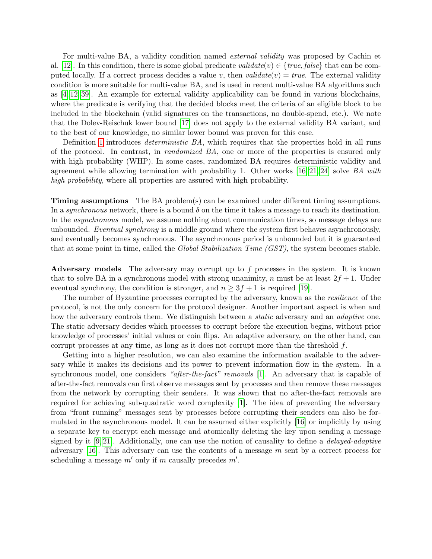For multi-value BA, a validity condition named external validity was proposed by Cachin et al. [\[12\]](#page-8-4). In this condition, there is some global predicate validate(v)  $\in \{true, false\}$  that can be computed locally. If a correct process decides a value v, then validate(v) = true. The external validity condition is more suitable for multi-value BA, and is used in recent multi-value BA algorithms such as [\[4,](#page-8-5) [12,](#page-8-4) [39\]](#page-10-3). An example for external validity applicability can be found in various blockchains, where the predicate is verifying that the decided blocks meet the criteria of an eligible block to be included in the blockchain (valid signatures on the transactions, no double-spend, etc.). We note that the Dolev-Reischuk lower bound [\[17\]](#page-9-2) does not apply to the external validity BA variant, and to the best of our knowledge, no similar lower bound was proven for this case.

Definition [1](#page-1-1) introduces *deterministic BA*, which requires that the properties hold in all runs of the protocol. In contrast, in randomized BA, one or more of the properties is ensured only with high probability (WHP). In some cases, randomized BA requires deterministic validity and agreement while allowing termination with probability 1. Other works  $[16, 21, 24]$  $[16, 21, 24]$  $[16, 21, 24]$  solve BA with high probability, where all properties are assured with high probability.

Timing assumptions The BA problem(s) can be examined under different timing assumptions. In a synchronous network, there is a bound  $\delta$  on the time it takes a message to reach its destination. In the *asynchronous* model, we assume nothing about communication times, so message delays are unbounded. Eventual synchrony is a middle ground where the system first behaves asynchronously, and eventually becomes synchronous. The asynchronous period is unbounded but it is guaranteed that at some point in time, called the *Global Stabilization Time (GST)*, the system becomes stable.

Adversary models The adversary may corrupt up to f processes in the system. It is known that to solve BA in a synchronous model with strong unanimity, n must be at least  $2f + 1$ . Under eventual synchrony, the condition is stronger, and  $n \geq 3f + 1$  is required [\[19\]](#page-9-10).

The number of Byzantine processes corrupted by the adversary, known as the resilience of the protocol, is not the only concern for the protocol designer. Another important aspect is when and how the adversary controls them. We distinguish between a *static* adversary and an *adaptive* one. The static adversary decides which processes to corrupt before the execution begins, without prior knowledge of processes' initial values or coin flips. An adaptive adversary, on the other hand, can corrupt processes at any time, as long as it does not corrupt more than the threshold  $f$ .

Getting into a higher resolution, we can also examine the information available to the adversary while it makes its decisions and its power to prevent information flow in the system. In a synchronous model, one considers "after-the-fact" removals [\[1\]](#page-8-6). An adversary that is capable of after-the-fact removals can first observe messages sent by processes and then remove these messages from the network by corrupting their senders. It was shown that no after-the-fact removals are required for achieving sub-quadratic word complexity [\[1\]](#page-8-6). The idea of preventing the adversary from "front running" messages sent by processes before corrupting their senders can also be formulated in the asynchronous model. It can be assumed either explicitly [\[16\]](#page-9-7) or implicitly by using a separate key to encrypt each message and atomically deleting the key upon sending a message signed by it  $[9, 21]$  $[9, 21]$ . Additionally, one can use the notion of causality to define a *delayed-adaptive* adversary  $[16]$ . This adversary can use the contents of a message m sent by a correct process for scheduling a message  $m'$  only if m causally precedes  $m'$ .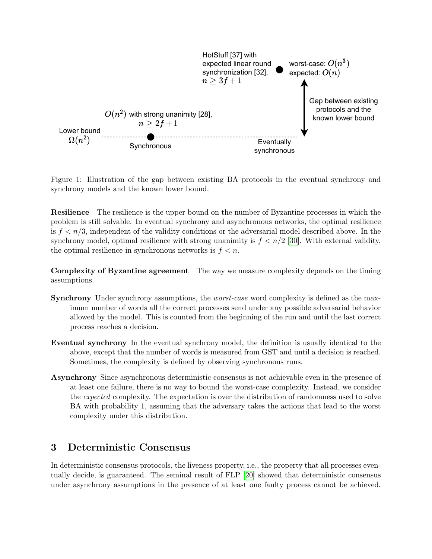

<span id="page-3-1"></span>Figure 1: Illustration of the gap between existing BA protocols in the eventual synchrony and synchrony models and the known lower bound.

Resilience The resilience is the upper bound on the number of Byzantine processes in which the problem is still solvable. In eventual synchrony and asynchronous networks, the optimal resilience is  $f < n/3$ , independent of the validity conditions or the adversarial model described above. In the synchrony model, optimal resilience with strong unanimity is  $f < n/2$  [\[30\]](#page-10-2). With external validity, the optimal resilience in synchronous networks is  $f < n$ .

Complexity of Byzantine agreement The way we measure complexity depends on the timing assumptions.

- Synchrony Under synchrony assumptions, the *worst-case* word complexity is defined as the maximum number of words all the correct processes send under any possible adversarial behavior allowed by the model. This is counted from the beginning of the run and until the last correct process reaches a decision.
- Eventual synchrony In the eventual synchrony model, the definition is usually identical to the above, except that the number of words is measured from GST and until a decision is reached. Sometimes, the complexity is defined by observing synchronous runs.
- Asynchrony Since asynchronous deterministic consensus is not achievable even in the presence of at least one failure, there is no way to bound the worst-case complexity. Instead, we consider the expected complexity. The expectation is over the distribution of randomness used to solve BA with probability 1, assuming that the adversary takes the actions that lead to the worst complexity under this distribution.

## <span id="page-3-0"></span>3 Deterministic Consensus

In deterministic consensus protocols, the liveness property, i.e., the property that all processes eventually decide, is guaranteed. The seminal result of FLP [\[20\]](#page-9-5) showed that deterministic consensus under asynchrony assumptions in the presence of at least one faulty process cannot be achieved.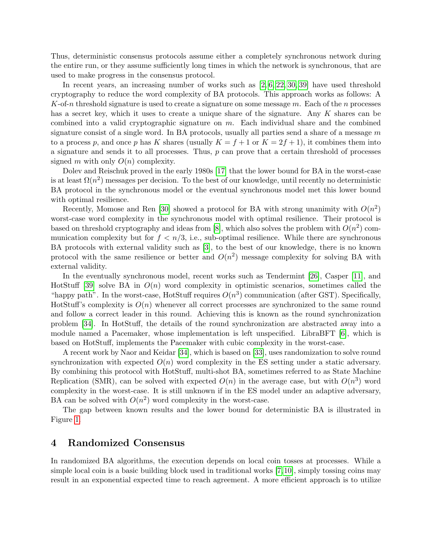Thus, deterministic consensus protocols assume either a completely synchronous network during the entire run, or they assume sufficiently long times in which the network is synchronous, that are used to make progress in the consensus protocol.

In recent years, an increasing number of works such as [\[2,](#page-8-2) [6,](#page-8-0) [22,](#page-9-4) [30,](#page-10-2) [39\]](#page-10-3) have used threshold cryptography to reduce the word complexity of BA protocols. This approach works as follows: A K-of-n threshold signature is used to create a signature on some message  $m$ . Each of the n processes has a secret key, which it uses to create a unique share of the signature. Any K shares can be combined into a valid cryptographic signature on  $m$ . Each individual share and the combined signature consist of a single word. In BA protocols, usually all parties send a share of a message  $m$ to a process p, and once p has K shares (usually  $K = f + 1$  or  $K = 2f + 1$ ), it combines them into a signature and sends it to all processes. Thus, p can prove that a certain threshold of processes signed m with only  $O(n)$  complexity.

Dolev and Reischuk proved in the early 1980s [\[17\]](#page-9-2) that the lower bound for BA in the worst-case is at least  $\Omega(n^2)$  messages per decision. To the best of our knowledge, until recently no deterministic BA protocol in the synchronous model or the eventual synchronous model met this lower bound with optimal resilience.

Recently, Momose and Ren [\[30\]](#page-10-2) showed a protocol for BA with strong unanimity with  $O(n^2)$ worst-case word complexity in the synchronous model with optimal resilience. Their protocol is based on threshold cryptography and ideas from [\[8\]](#page-8-8), which also solves the problem with  $O(n^2)$  communication complexity but for  $f < n/3$ , i.e., sub-optimal resilience. While there are synchronous BA protocols with external validity such as [\[3\]](#page-8-1), to the best of our knowledge, there is no known protocol with the same resilience or better and  $O(n^2)$  message complexity for solving BA with external validity.

In the eventually synchronous model, recent works such as Tendermint [\[26\]](#page-9-9), Casper [\[11\]](#page-8-9), and HotStuff [\[39\]](#page-10-3) solve BA in  $O(n)$  word complexity in optimistic scenarios, sometimes called the "happy path". In the worst-case, HotStuff requires  $O(n^3)$  communication (after GST). Specifically, HotStuff's complexity is  $O(n)$  whenever all correct processes are synchronized to the same round and follow a correct leader in this round. Achieving this is known as the round synchronization problem [\[34\]](#page-10-8). In HotStuff, the details of the round synchronization are abstracted away into a module named a Pacemaker, whose implementation is left unspecified. LibraBFT [\[6\]](#page-8-0), which is based on HotStuff, implements the Pacemaker with cubic complexity in the worst-case.

A recent work by Naor and Keidar [\[34\]](#page-10-8), which is based on [\[33\]](#page-10-6), uses randomization to solve round synchronization with expected  $O(n)$  word complexity in the ES setting under a static adversary. By combining this protocol with HotStuff, multi-shot BA, sometimes referred to as State Machine Replication (SMR), can be solved with expected  $O(n)$  in the average case, but with  $O(n^3)$  word complexity in the worst-case. It is still unknown if in the ES model under an adaptive adversary, BA can be solved with  $O(n^2)$  word complexity in the worst-case.

The gap between known results and the lower bound for deterministic BA is illustrated in Figure [1.](#page-3-1)

#### <span id="page-4-0"></span>4 Randomized Consensus

In randomized BA algorithms, the execution depends on local coin tosses at processes. While a simple local coin is a basic building block used in traditional works [\[7,](#page-8-10)[10\]](#page-8-11), simply tossing coins may result in an exponential expected time to reach agreement. A more efficient approach is to utilize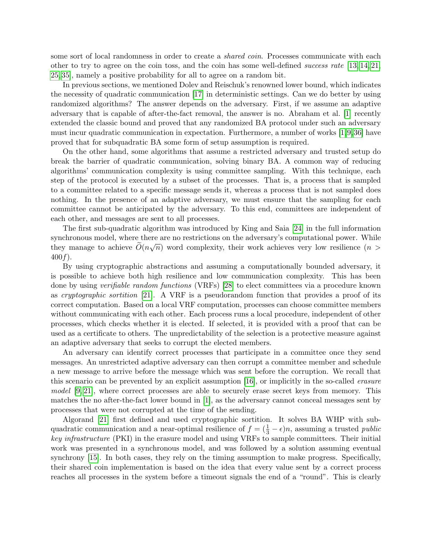some sort of local randomness in order to create a *shared coin*. Processes communicate with each other to try to agree on the coin toss, and the coin has some well-defined success rate [\[13,](#page-9-6) [14,](#page-9-11) [21,](#page-9-1) [25,](#page-9-12) [35\]](#page-10-5), namely a positive probability for all to agree on a random bit.

In previous sections, we mentioned Dolev and Reischuk's renowned lower bound, which indicates the necessity of quadratic communication [\[17\]](#page-9-2) in deterministic settings. Can we do better by using randomized algorithms? The answer depends on the adversary. First, if we assume an adaptive adversary that is capable of after-the-fact removal, the answer is no. Abraham et al. [\[1\]](#page-8-6) recently extended the classic bound and proved that any randomized BA protocol under such an adversary must incur quadratic communication in expectation. Furthermore, a number of works [\[1,](#page-8-6)[9,](#page-8-7)[36\]](#page-10-9) have proved that for subquadratic BA some form of setup assumption is required.

On the other hand, some algorithms that assume a restricted adversary and trusted setup do break the barrier of quadratic communication, solving binary BA. A common way of reducing algorithms' communication complexity is using committee sampling. With this technique, each step of the protocol is executed by a subset of the processes. That is, a process that is sampled to a committee related to a specific message sends it, whereas a process that is not sampled does nothing. In the presence of an adaptive adversary, we must ensure that the sampling for each committee cannot be anticipated by the adversary. To this end, committees are independent of each other, and messages are sent to all processes.

The first sub-quadratic algorithm was introduced by King and Saia [\[24\]](#page-9-8) in the full information synchronous model, where there are no restrictions on the adversary's computational power. While they manage to achieve  $O(n\sqrt{n})$  word complexity, their work achieves very low resilience  $(n >$  $400f$ ).

By using cryptographic abstractions and assuming a computationally bounded adversary, it is possible to achieve both high resilience and low communication complexity. This has been done by using verifiable random functions (VRFs) [\[28\]](#page-9-13) to elect committees via a procedure known as cryptographic sortition [\[21\]](#page-9-1). A VRF is a pseudorandom function that provides a proof of its correct computation. Based on a local VRF computation, processes can choose committee members without communicating with each other. Each process runs a local procedure, independent of other processes, which checks whether it is elected. If selected, it is provided with a proof that can be used as a certificate to others. The unpredictability of the selection is a protective measure against an adaptive adversary that seeks to corrupt the elected members.

An adversary can identify correct processes that participate in a committee once they send messages. An unrestricted adaptive adversary can then corrupt a committee member and schedule a new message to arrive before the message which was sent before the corruption. We recall that this scenario can be prevented by an explicit assumption [\[16\]](#page-9-7), or implicitly in the so-called erasure model [\[9,](#page-8-7) [21\]](#page-9-1), where correct processes are able to securely erase secret keys from memory. This matches the no after-the-fact lower bound in [\[1\]](#page-8-6), as the adversary cannot conceal messages sent by processes that were not corrupted at the time of the sending.

Algorand [\[21\]](#page-9-1) first defined and used cryptographic sortition. It solves BA WHP with subquadratic communication and a near-optimal resilience of  $f = (\frac{1}{3} - \epsilon)n$ , assuming a trusted *public* key infrastructure (PKI) in the erasure model and using VRFs to sample committees. Their initial work was presented in a synchronous model, and was followed by a solution assuming eventual synchrony [\[15\]](#page-9-14). In both cases, they rely on the timing assumption to make progress. Specifically, their shared coin implementation is based on the idea that every value sent by a correct process reaches all processes in the system before a timeout signals the end of a "round". This is clearly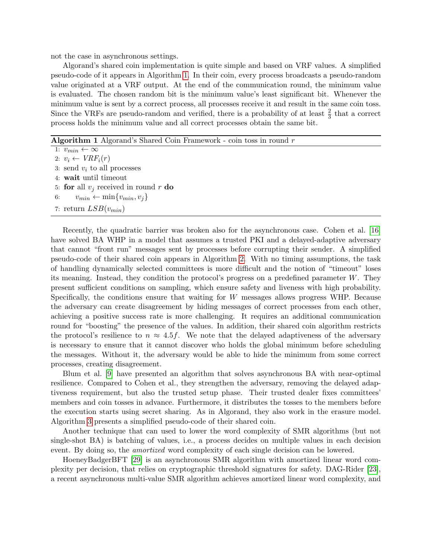not the case in asynchronous settings.

Algorand's shared coin implementation is quite simple and based on VRF values. A simplified pseudo-code of it appears in Algorithm [1.](#page-6-0) In their coin, every process broadcasts a pseudo-random value originated at a VRF output. At the end of the communication round, the minimum value is evaluated. The chosen random bit is the minimum value's least significant bit. Whenever the minimum value is sent by a correct process, all processes receive it and result in the same coin toss. Since the VRFs are pseudo-random and verified, there is a probability of at least  $\frac{2}{3}$  that a correct process holds the minimum value and all correct processes obtain the same bit.

Algorithm 1 Algorand's Shared Coin Framework - coin toss in round r

1:  $v_{min} \leftarrow \infty$ 2:  $v_i \leftarrow \textit{VRF}_i(r)$ 3: send  $v_i$  to all processes 4: wait until timeout 5: for all  $v_i$  received in round r do 6:  $v_{min} \leftarrow \min\{v_{min}, v_j\}$ 

<span id="page-6-0"></span>7: return  $LSB(v_{min})$ 

Recently, the quadratic barrier was broken also for the asynchronous case. Cohen et al. [\[16\]](#page-9-7) have solved BA WHP in a model that assumes a trusted PKI and a delayed-adaptive adversary that cannot "front run" messages sent by processes before corrupting their sender. A simplified pseudo-code of their shared coin appears in Algorithm [2.](#page-7-1) With no timing assumptions, the task of handling dynamically selected committees is more difficult and the notion of "timeout" loses its meaning. Instead, they condition the protocol's progress on a predefined parameter W. They present sufficient conditions on sampling, which ensure safety and liveness with high probability. Specifically, the conditions ensure that waiting for W messages allows progress WHP. Because the adversary can create disagreement by hiding messages of correct processes from each other, achieving a positive success rate is more challenging. It requires an additional communication round for "boosting" the presence of the values. In addition, their shared coin algorithm restricts the protocol's resilience to  $n \approx 4.5f$ . We note that the delayed adaptiveness of the adversary is necessary to ensure that it cannot discover who holds the global minimum before scheduling the messages. Without it, the adversary would be able to hide the minimum from some correct processes, creating disagreement.

Blum et al. [\[9\]](#page-8-7) have presented an algorithm that solves asynchronous BA with near-optimal resilience. Compared to Cohen et al., they strengthen the adversary, removing the delayed adaptiveness requirement, but also the trusted setup phase. Their trusted dealer fixes committees' members and coin tosses in advance. Furthermore, it distributes the tosses to the members before the execution starts using secret sharing. As in Algorand, they also work in the erasure model. Algorithm [3](#page-7-2) presents a simplified pseudo-code of their shared coin.

Another technique that can used to lower the word complexity of SMR algorithms (but not single-shot BA) is batching of values, i.e., a process decides on multiple values in each decision event. By doing so, the *amortized* word complexity of each single decision can be lowered.

HoeneyBadgerBFT [\[29\]](#page-10-10) is an asynchronous SMR algorithm with amortized linear word complexity per decision, that relies on cryptographic threshold signatures for safety. DAG-Rider [\[23\]](#page-9-15), a recent asynchronous multi-value SMR algorithm achieves amortized linear word complexity, and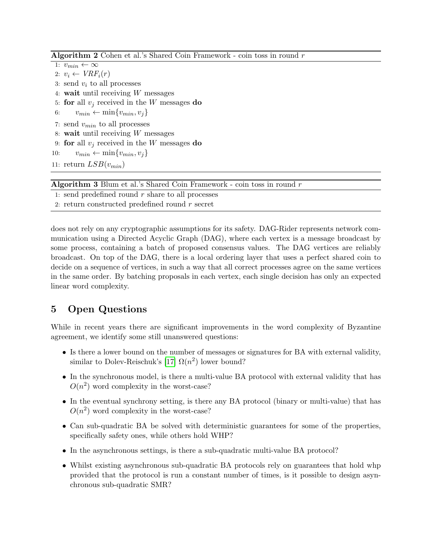| <b>Algorithm 2</b> Cohen et al.'s Shared Coin Framework - coin toss in round $r$ |
|----------------------------------------------------------------------------------|
|----------------------------------------------------------------------------------|

1:  $v_{min} \leftarrow \infty$ 2:  $v_i \leftarrow \textit{VRF}_i(r)$ 3: send  $v_i$  to all processes 4: wait until receiving  $W$  messages 5: for all  $v_j$  received in the W messages do 6:  $v_{min} \leftarrow \min\{v_{min}, v_j\}$ 7: send  $v_{min}$  to all processes 8: wait until receiving W messages 9: for all  $v_i$  received in the W messages do 10:  $v_{min} \leftarrow \min\{v_{min}, v_j\}$ 

<span id="page-7-1"></span>11: return  $LSB(v_{min})$ 

Algorithm 3 Blum et al.'s Shared Coin Framework - coin toss in round  $r$ 

1: send predefined round  $r$  share to all processes

<span id="page-7-2"></span>2: return constructed predefined round  $r$  secret

does not rely on any cryptographic assumptions for its safety. DAG-Rider represents network communication using a Directed Acyclic Graph (DAG), where each vertex is a message broadcast by some process, containing a batch of proposed consensus values. The DAG vertices are reliably broadcast. On top of the DAG, there is a local ordering layer that uses a perfect shared coin to decide on a sequence of vertices, in such a way that all correct processes agree on the same vertices in the same order. By batching proposals in each vertex, each single decision has only an expected linear word complexity.

# <span id="page-7-0"></span>5 Open Questions

While in recent years there are significant improvements in the word complexity of Byzantine agreement, we identify some still unanswered questions:

- Is there a lower bound on the number of messages or signatures for BA with external validity, similar to Dolev-Reischuk's [\[17\]](#page-9-2)  $\Omega(n^2)$  lower bound?
- In the synchronous model, is there a multi-value BA protocol with external validity that has  $O(n^2)$  word complexity in the worst-case?
- In the eventual synchrony setting, is there any BA protocol (binary or multi-value) that has  $O(n^2)$  word complexity in the worst-case?
- Can sub-quadratic BA be solved with deterministic guarantees for some of the properties, specifically safety ones, while others hold WHP?
- In the asynchronous settings, is there a sub-quadratic multi-value BA protocol?
- Whilst existing asynchronous sub-quadratic BA protocols rely on guarantees that hold whp provided that the protocol is run a constant number of times, is it possible to design asynchronous sub-quadratic SMR?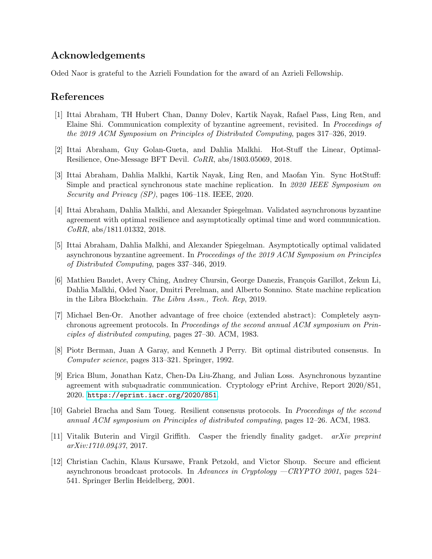# Acknowledgements

Oded Naor is grateful to the Azrieli Foundation for the award of an Azrieli Fellowship.

## References

- <span id="page-8-6"></span>[1] Ittai Abraham, TH Hubert Chan, Danny Dolev, Kartik Nayak, Rafael Pass, Ling Ren, and Elaine Shi. Communication complexity of byzantine agreement, revisited. In Proceedings of the 2019 ACM Symposium on Principles of Distributed Computing, pages 317–326, 2019.
- <span id="page-8-2"></span>[2] Ittai Abraham, Guy Golan-Gueta, and Dahlia Malkhi. Hot-Stuff the Linear, Optimal-Resilience, One-Message BFT Devil. CoRR, abs/1803.05069, 2018.
- <span id="page-8-1"></span>[3] Ittai Abraham, Dahlia Malkhi, Kartik Nayak, Ling Ren, and Maofan Yin. Sync HotStuff: Simple and practical synchronous state machine replication. In 2020 IEEE Symposium on Security and Privacy (SP), pages 106–118. IEEE, 2020.
- <span id="page-8-5"></span>[4] Ittai Abraham, Dahlia Malkhi, and Alexander Spiegelman. Validated asynchronous byzantine agreement with optimal resilience and asymptotically optimal time and word communication. CoRR, abs/1811.01332, 2018.
- <span id="page-8-3"></span>[5] Ittai Abraham, Dahlia Malkhi, and Alexander Spiegelman. Asymptotically optimal validated asynchronous byzantine agreement. In Proceedings of the 2019 ACM Symposium on Principles of Distributed Computing, pages 337–346, 2019.
- <span id="page-8-0"></span>[6] Mathieu Baudet, Avery Ching, Andrey Chursin, George Danezis, François Garillot, Zekun Li, Dahlia Malkhi, Oded Naor, Dmitri Perelman, and Alberto Sonnino. State machine replication in the Libra Blockchain. The Libra Assn., Tech. Rep, 2019.
- <span id="page-8-10"></span>[7] Michael Ben-Or. Another advantage of free choice (extended abstract): Completely asynchronous agreement protocols. In Proceedings of the second annual ACM symposium on Principles of distributed computing, pages 27–30. ACM, 1983.
- <span id="page-8-8"></span>[8] Piotr Berman, Juan A Garay, and Kenneth J Perry. Bit optimal distributed consensus. In Computer science, pages 313–321. Springer, 1992.
- <span id="page-8-7"></span>[9] Erica Blum, Jonathan Katz, Chen-Da Liu-Zhang, and Julian Loss. Asynchronous byzantine agreement with subquadratic communication. Cryptology ePrint Archive, Report 2020/851, 2020. <https://eprint.iacr.org/2020/851>.
- <span id="page-8-11"></span>[10] Gabriel Bracha and Sam Toueg. Resilient consensus protocols. In Proceedings of the second annual ACM symposium on Principles of distributed computing, pages 12–26. ACM, 1983.
- <span id="page-8-9"></span>[11] Vitalik Buterin and Virgil Griffith. Casper the friendly finality gadget. arXiv preprint arXiv:1710.09437, 2017.
- <span id="page-8-4"></span>[12] Christian Cachin, Klaus Kursawe, Frank Petzold, and Victor Shoup. Secure and efficient asynchronous broadcast protocols. In Advances in Cryptology  $-CRYPTO$  2001, pages 524– 541. Springer Berlin Heidelberg, 2001.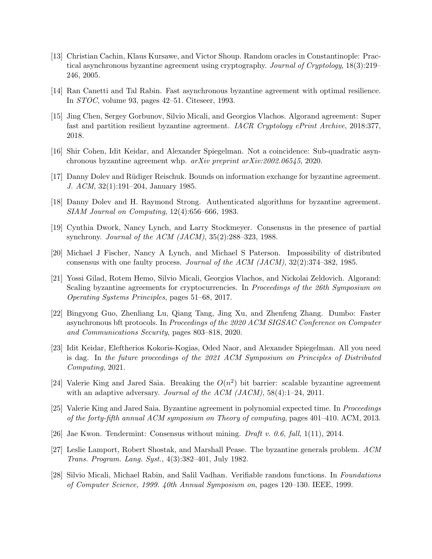- <span id="page-9-6"></span>[13] Christian Cachin, Klaus Kursawe, and Victor Shoup. Random oracles in Constantinople: Practical asynchronous byzantine agreement using cryptography. Journal of Cryptology, 18(3):219– 246, 2005.
- <span id="page-9-11"></span>[14] Ran Canetti and Tal Rabin. Fast asynchronous byzantine agreement with optimal resilience. In STOC, volume 93, pages 42–51. Citeseer, 1993.
- <span id="page-9-14"></span>[15] Jing Chen, Sergey Gorbunov, Silvio Micali, and Georgios Vlachos. Algorand agreement: Super fast and partition resilient byzantine agreement. *IACR Cryptology ePrint Archive*, 2018:377, 2018.
- <span id="page-9-7"></span>[16] Shir Cohen, Idit Keidar, and Alexander Spiegelman. Not a coincidence: Sub-quadratic asynchronous byzantine agreement whp. arXiv preprint arXiv:2002.06545, 2020.
- <span id="page-9-2"></span>[17] Danny Dolev and Rüdiger Reischuk. Bounds on information exchange for byzantine agreement. J. ACM, 32(1):191–204, January 1985.
- <span id="page-9-3"></span>[18] Danny Dolev and H. Raymond Strong. Authenticated algorithms for byzantine agreement. SIAM Journal on Computing, 12(4):656–666, 1983.
- <span id="page-9-10"></span>[19] Cynthia Dwork, Nancy Lynch, and Larry Stockmeyer. Consensus in the presence of partial synchrony. Journal of the ACM (JACM), 35(2):288–323, 1988.
- <span id="page-9-5"></span>[20] Michael J Fischer, Nancy A Lynch, and Michael S Paterson. Impossibility of distributed consensus with one faulty process. Journal of the ACM (JACM), 32(2):374–382, 1985.
- <span id="page-9-1"></span>[21] Yossi Gilad, Rotem Hemo, Silvio Micali, Georgios Vlachos, and Nickolai Zeldovich. Algorand: Scaling byzantine agreements for cryptocurrencies. In Proceedings of the 26th Symposium on Operating Systems Principles, pages 51–68, 2017.
- <span id="page-9-4"></span>[22] Bingyong Guo, Zhenliang Lu, Qiang Tang, Jing Xu, and Zhenfeng Zhang. Dumbo: Faster asynchronous bft protocols. In Proceedings of the 2020 ACM SIGSAC Conference on Computer and Communications Security, pages 803–818, 2020.
- <span id="page-9-15"></span>[23] Idit Keidar, Eleftherios Kokoris-Kogias, Oded Naor, and Alexander Spiegelman. All you need is dag. In the future proceedings of the 2021 ACM Symposium on Principles of Distributed Computing, 2021.
- <span id="page-9-8"></span>[24] Valerie King and Jared Saia. Breaking the  $O(n^2)$  bit barrier: scalable byzantine agreement with an adaptive adversary. *Journal of the ACM (JACM)*, 58(4):1–24, 2011.
- <span id="page-9-12"></span>[25] Valerie King and Jared Saia. Byzantine agreement in polynomial expected time. In Proceedings of the forty-fifth annual ACM symposium on Theory of computing, pages 401–410. ACM, 2013.
- <span id="page-9-9"></span>[26] Jae Kwon. Tendermint: Consensus without mining. Draft v. 0.6, fall, 1(11), 2014.
- <span id="page-9-0"></span>[27] Leslie Lamport, Robert Shostak, and Marshall Pease. The byzantine generals problem. ACM Trans. Program. Lang. Syst., 4(3):382–401, July 1982.
- <span id="page-9-13"></span>[28] Silvio Micali, Michael Rabin, and Salil Vadhan. Verifiable random functions. In Foundations of Computer Science, 1999. 40th Annual Symposium on, pages 120–130. IEEE, 1999.